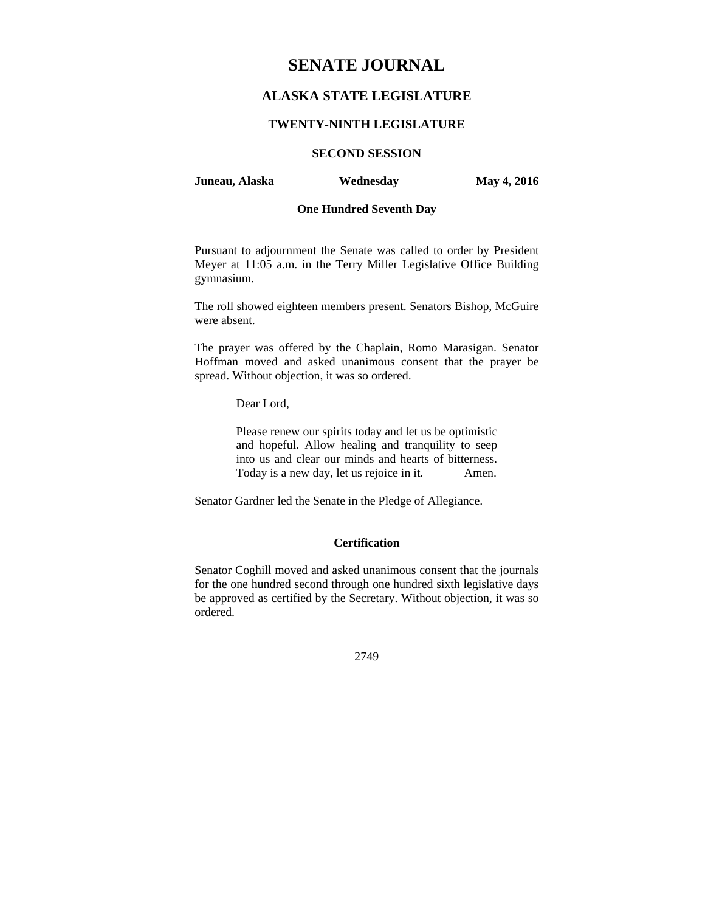# **SENATE JOURNAL**

# **ALASKA STATE LEGISLATURE**

## **TWENTY-NINTH LEGISLATURE**

# **SECOND SESSION**

## **Juneau, Alaska Wednesday May 4, 2016**

# **One Hundred Seventh Day**

Pursuant to adjournment the Senate was called to order by President Meyer at 11:05 a.m. in the Terry Miller Legislative Office Building gymnasium.

The roll showed eighteen members present. Senators Bishop, McGuire were absent.

The prayer was offered by the Chaplain, Romo Marasigan. Senator Hoffman moved and asked unanimous consent that the prayer be spread. Without objection, it was so ordered.

Dear Lord,

Please renew our spirits today and let us be optimistic and hopeful. Allow healing and tranquility to seep into us and clear our minds and hearts of bitterness. Today is a new day, let us rejoice in it. Amen.

Senator Gardner led the Senate in the Pledge of Allegiance.

# **Certification**

Senator Coghill moved and asked unanimous consent that the journals for the one hundred second through one hundred sixth legislative days be approved as certified by the Secretary. Without objection, it was so ordered.

2749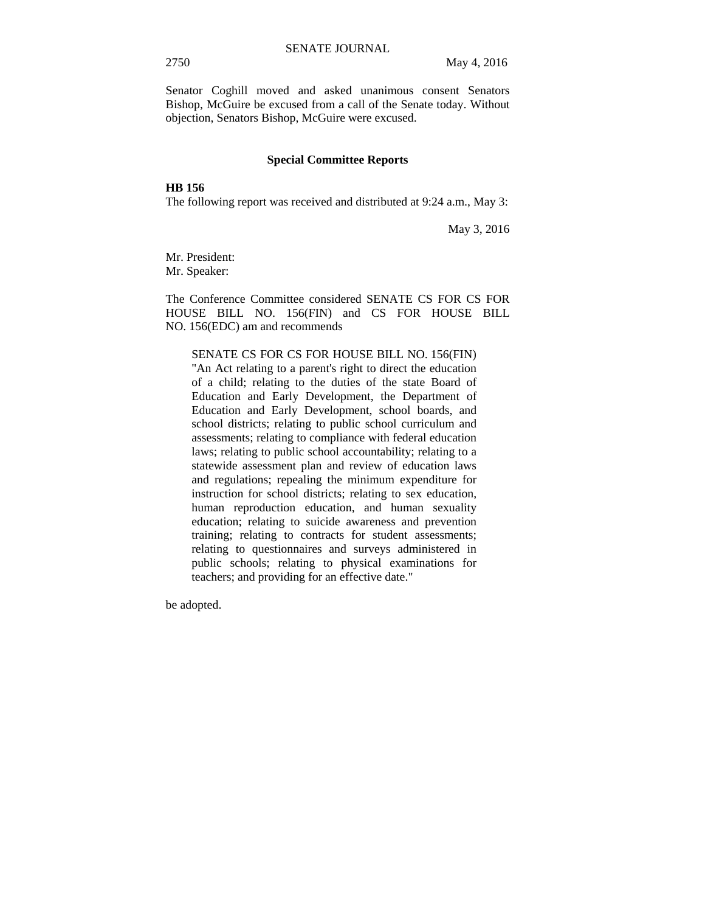Senator Coghill moved and asked unanimous consent Senators Bishop, McGuire be excused from a call of the Senate today. Without objection, Senators Bishop, McGuire were excused.

#### **Special Committee Reports**

# **HB 156**

The following report was received and distributed at 9:24 a.m., May 3:

May 3, 2016

Mr. President: Mr. Speaker:

The Conference Committee considered SENATE CS FOR CS FOR HOUSE BILL NO. 156(FIN) and CS FOR HOUSE BILL NO. 156(EDC) am and recommends

SENATE CS FOR CS FOR HOUSE BILL NO. 156(FIN) "An Act relating to a parent's right to direct the education of a child; relating to the duties of the state Board of Education and Early Development, the Department of Education and Early Development, school boards, and school districts; relating to public school curriculum and assessments; relating to compliance with federal education laws; relating to public school accountability; relating to a statewide assessment plan and review of education laws and regulations; repealing the minimum expenditure for instruction for school districts; relating to sex education, human reproduction education, and human sexuality education; relating to suicide awareness and prevention training; relating to contracts for student assessments; relating to questionnaires and surveys administered in public schools; relating to physical examinations for teachers; and providing for an effective date."

be adopted.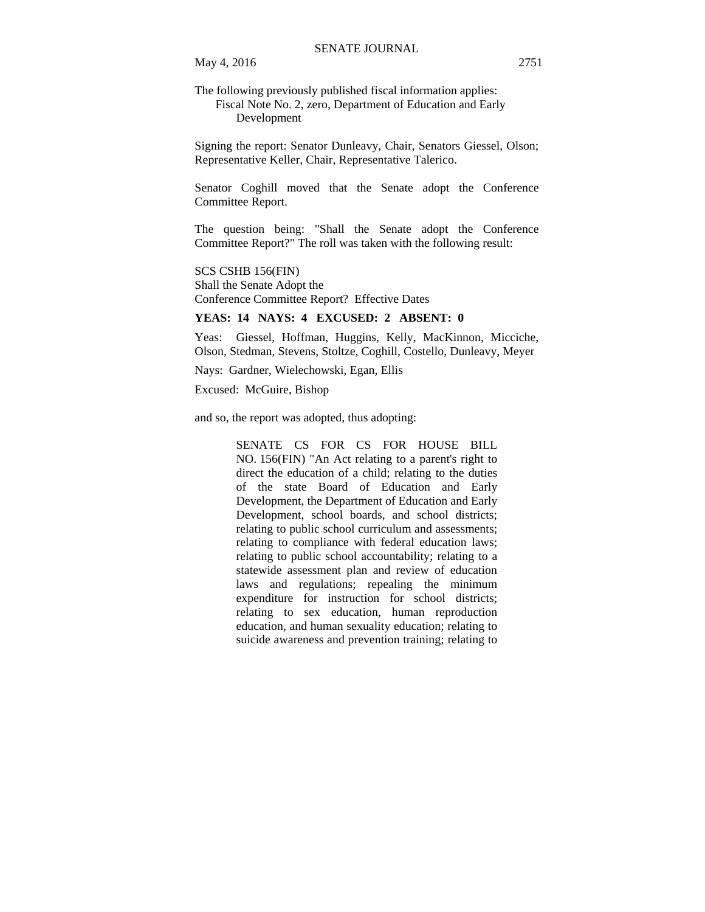May 4, 2016 2751

The following previously published fiscal information applies: Fiscal Note No. 2, zero, Department of Education and Early Development

Signing the report: Senator Dunleavy, Chair, Senators Giessel, Olson; Representative Keller, Chair, Representative Talerico.

Senator Coghill moved that the Senate adopt the Conference Committee Report.

The question being: "Shall the Senate adopt the Conference Committee Report?" The roll was taken with the following result:

SCS CSHB 156(FIN) Shall the Senate Adopt the Conference Committee Report? Effective Dates

# **YEAS: 14 NAYS: 4 EXCUSED: 2 ABSENT: 0**

Yeas: Giessel, Hoffman, Huggins, Kelly, MacKinnon, Micciche, Olson, Stedman, Stevens, Stoltze, Coghill, Costello, Dunleavy, Meyer

Nays: Gardner, Wielechowski, Egan, Ellis

Excused: McGuire, Bishop

and so, the report was adopted, thus adopting:

SENATE CS FOR CS FOR HOUSE BILL NO. 156(FIN) "An Act relating to a parent's right to direct the education of a child; relating to the duties of the state Board of Education and Early Development, the Department of Education and Early Development, school boards, and school districts; relating to public school curriculum and assessments; relating to compliance with federal education laws; relating to public school accountability; relating to a statewide assessment plan and review of education laws and regulations; repealing the minimum expenditure for instruction for school districts; relating to sex education, human reproduction education, and human sexuality education; relating to suicide awareness and prevention training; relating to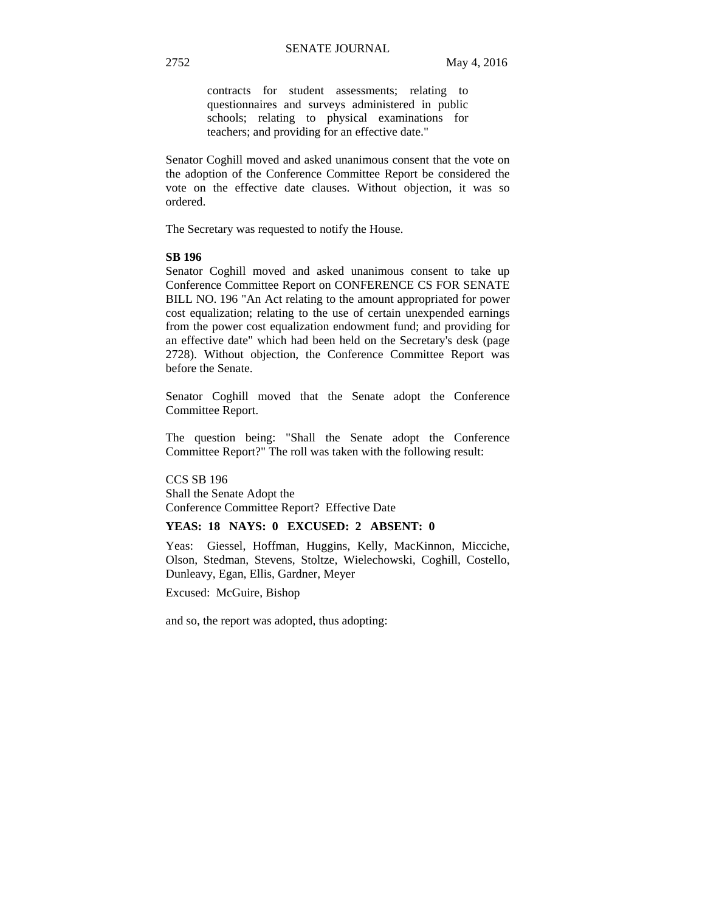contracts for student assessments; relating to questionnaires and surveys administered in public schools; relating to physical examinations for teachers; and providing for an effective date."

Senator Coghill moved and asked unanimous consent that the vote on the adoption of the Conference Committee Report be considered the vote on the effective date clauses. Without objection, it was so ordered.

The Secretary was requested to notify the House.

# **SB 196**

Senator Coghill moved and asked unanimous consent to take up Conference Committee Report on CONFERENCE CS FOR SENATE BILL NO. 196 "An Act relating to the amount appropriated for power cost equalization; relating to the use of certain unexpended earnings from the power cost equalization endowment fund; and providing for an effective date" which had been held on the Secretary's desk (page 2728). Without objection, the Conference Committee Report was before the Senate.

Senator Coghill moved that the Senate adopt the Conference Committee Report.

The question being: "Shall the Senate adopt the Conference Committee Report?" The roll was taken with the following result:

CCS SB 196 Shall the Senate Adopt the Conference Committee Report? Effective Date

## **YEAS: 18 NAYS: 0 EXCUSED: 2 ABSENT: 0**

Yeas: Giessel, Hoffman, Huggins, Kelly, MacKinnon, Micciche, Olson, Stedman, Stevens, Stoltze, Wielechowski, Coghill, Costello, Dunleavy, Egan, Ellis, Gardner, Meyer

Excused: McGuire, Bishop

and so, the report was adopted, thus adopting: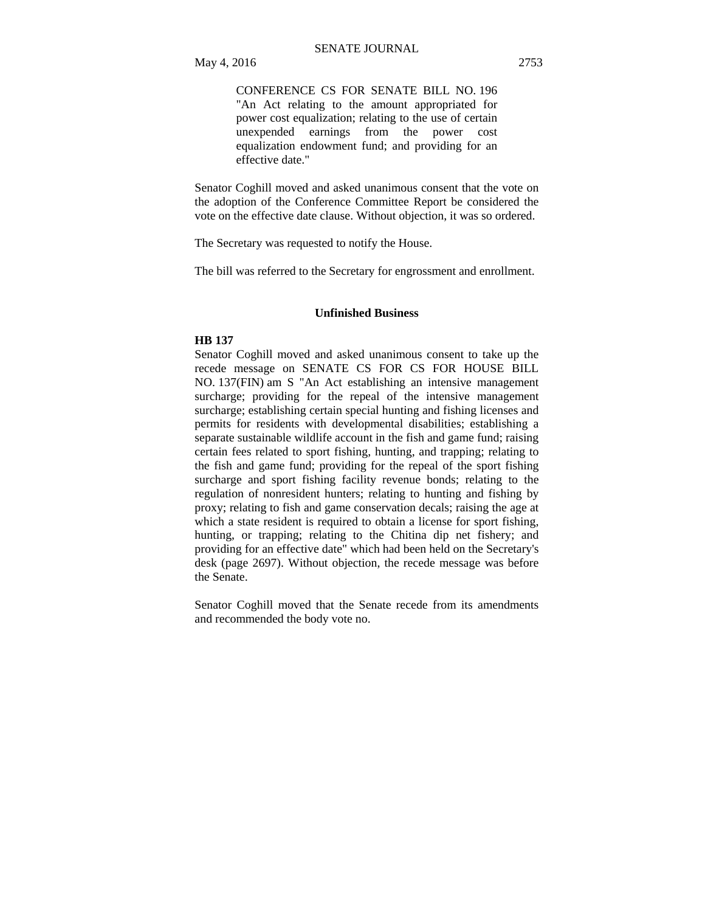CONFERENCE CS FOR SENATE BILL NO. 196 "An Act relating to the amount appropriated for power cost equalization; relating to the use of certain unexpended earnings from the power cost equalization endowment fund; and providing for an effective date."

Senator Coghill moved and asked unanimous consent that the vote on the adoption of the Conference Committee Report be considered the vote on the effective date clause. Without objection, it was so ordered.

The Secretary was requested to notify the House.

The bill was referred to the Secretary for engrossment and enrollment.

#### **Unfinished Business**

#### **HB 137**

Senator Coghill moved and asked unanimous consent to take up the recede message on SENATE CS FOR CS FOR HOUSE BILL NO. 137(FIN) am S "An Act establishing an intensive management surcharge; providing for the repeal of the intensive management surcharge; establishing certain special hunting and fishing licenses and permits for residents with developmental disabilities; establishing a separate sustainable wildlife account in the fish and game fund; raising certain fees related to sport fishing, hunting, and trapping; relating to the fish and game fund; providing for the repeal of the sport fishing surcharge and sport fishing facility revenue bonds; relating to the regulation of nonresident hunters; relating to hunting and fishing by proxy; relating to fish and game conservation decals; raising the age at which a state resident is required to obtain a license for sport fishing, hunting, or trapping; relating to the Chitina dip net fishery; and providing for an effective date" which had been held on the Secretary's desk (page 2697). Without objection, the recede message was before the Senate.

Senator Coghill moved that the Senate recede from its amendments and recommended the body vote no.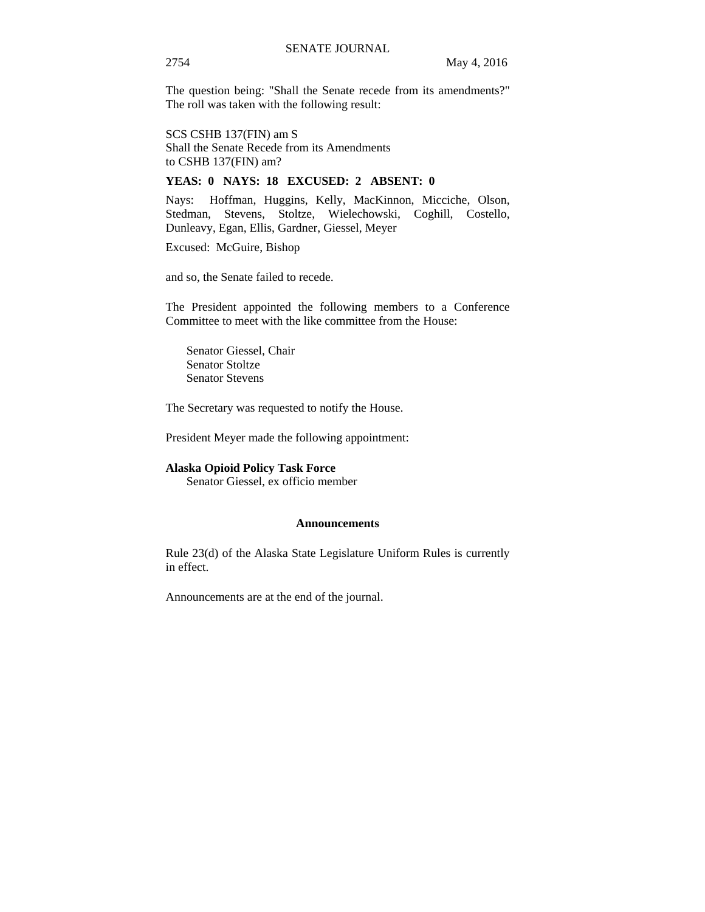The question being: "Shall the Senate recede from its amendments?" The roll was taken with the following result:

#### SCS CSHB 137(FIN) am S

Shall the Senate Recede from its Amendments to CSHB 137(FIN) am?

# **YEAS: 0 NAYS: 18 EXCUSED: 2 ABSENT: 0**

Nays: Hoffman, Huggins, Kelly, MacKinnon, Micciche, Olson, Stedman, Stevens, Stoltze, Wielechowski, Coghill, Costello, Dunleavy, Egan, Ellis, Gardner, Giessel, Meyer

Excused: McGuire, Bishop

and so, the Senate failed to recede.

The President appointed the following members to a Conference Committee to meet with the like committee from the House:

Senator Giessel, Chair Senator Stoltze Senator Stevens

The Secretary was requested to notify the House.

President Meyer made the following appointment:

#### **Alaska Opioid Policy Task Force**

Senator Giessel, ex officio member

### **Announcements**

Rule 23(d) of the Alaska State Legislature Uniform Rules is currently in effect.

Announcements are at the end of the journal.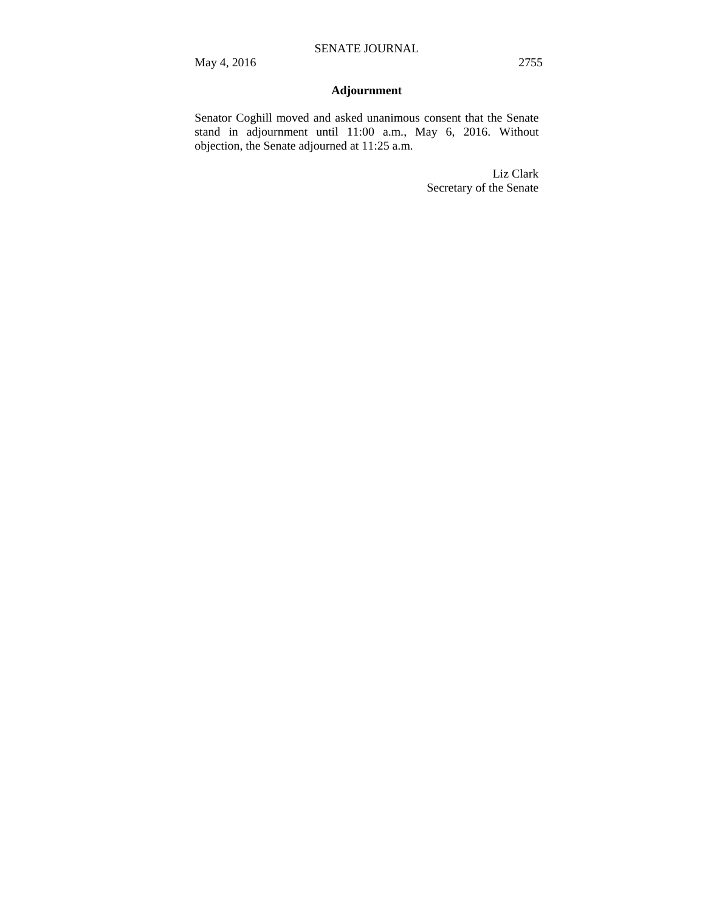# **Adjournment**

Senator Coghill moved and asked unanimous consent that the Senate stand in adjournment until 11:00 a.m., May 6, 2016. Without objection, the Senate adjourned at 11:25 a.m.

> Liz Clark Secretary of the Senate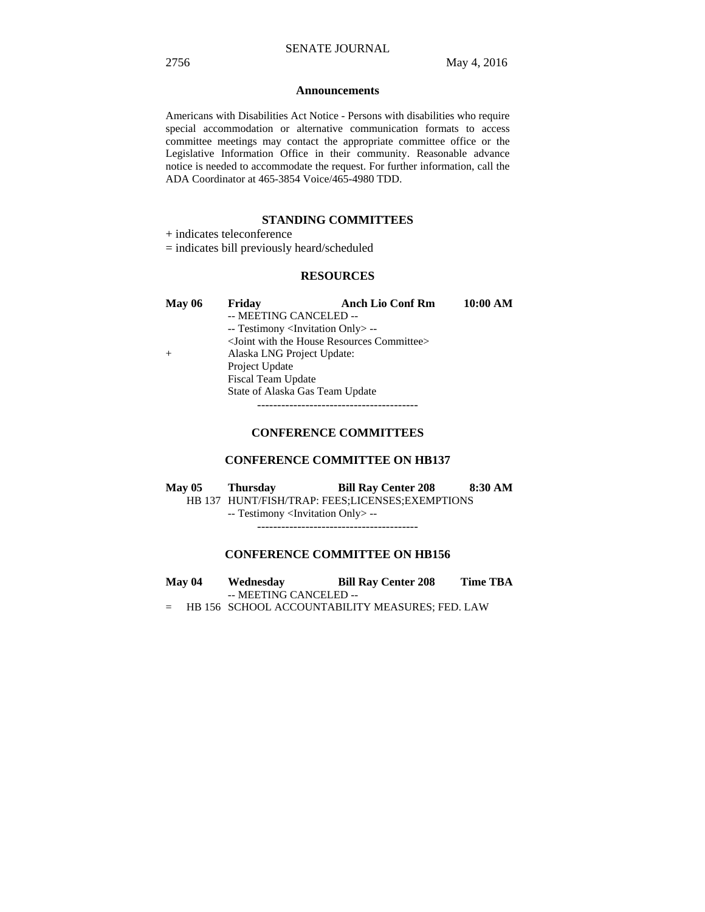#### **Announcements**

Americans with Disabilities Act Notice - Persons with disabilities who require special accommodation or alternative communication formats to access committee meetings may contact the appropriate committee office or the Legislative Information Office in their community. Reasonable advance notice is needed to accommodate the request. For further information, call the ADA Coordinator at 465-3854 Voice/465-4980 TDD.

# **STANDING COMMITTEES**

+ indicates teleconference

= indicates bill previously heard/scheduled

# **RESOURCES**

| May $06$ | Friday                                            | <b>Anch Lio Conf Rm</b>                                           | 10:00 AM |
|----------|---------------------------------------------------|-------------------------------------------------------------------|----------|
|          | -- MEETING CANCELED --                            |                                                                   |          |
|          | -- Testimony <invitation only=""> --</invitation> |                                                                   |          |
|          |                                                   | <joint committee="" house="" resources="" the="" with=""></joint> |          |
| $+$      | Alaska LNG Project Update:                        |                                                                   |          |
|          | Project Update                                    |                                                                   |          |
|          | <b>Fiscal Team Update</b>                         |                                                                   |          |
|          | State of Alaska Gas Team Update                   |                                                                   |          |
|          |                                                   |                                                                   |          |

# **CONFERENCE COMMITTEES**

# **CONFERENCE COMMITTEE ON HB137**

**May 05 Thursday Bill Ray Center 208 8:30 AM** 

HB 137 HUNT/FISH/TRAP: FEES;LICENSES;EXEMPTIONS

-- Testimony <Invitation Only> --

----------------------------------------

# **CONFERENCE COMMITTEE ON HB156**

- **May 04 Wednesday Bill Ray Center 208 Time TBA**  -- MEETING CANCELED --
- = HB 156 SCHOOL ACCOUNTABILITY MEASURES; FED. LAW